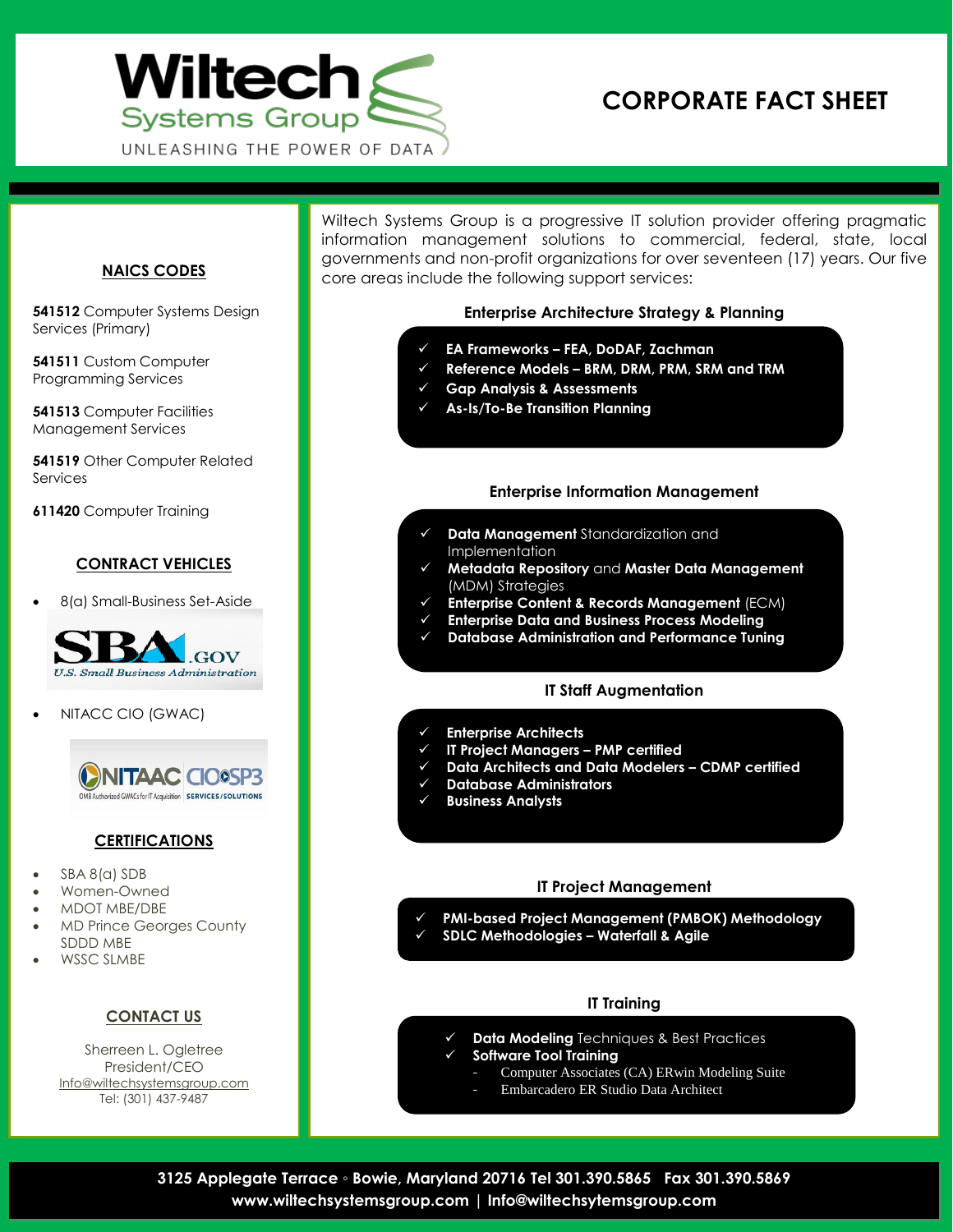

# **CORPORATE FACT SHEET**

#### **NAICS CODES**

**541512** Computer Systems Design Services (Primary)

**541511** Custom Computer Programming Services

**541513** Computer Facilities Management Services

**541519** Other Computer Related Services

**611420** Computer Training

#### **CONTRACT VEHICLES**

8(a) Small-Business Set-Aside



NITACC CIO (GWAC)



#### **CERTIFICATIONS**

- SBA 8(a) SDB
- Women-Owned
- MDOT MBE/DBE
- MD Prince Georges County SDDD MBE
- WSSC SLMBE

# **CONTACT US**

Sherreen L. Ogletree President/CEO Info@wiltechsystemsgroup.com Tel: (301) 437-9487

Wiltech Systems Group is a progressive IT solution provider offering pragmatic information management solutions to commercial, federal, state, local governments and non-profit organizations for over seventeen (17) years. Our five core areas include the following support services:

# **Enterprise Architecture Strategy & Planning**

- **EA Frameworks – FEA, DoDAF, Zachman**
- **Reference Models – BRM, DRM, PRM, SRM and TRM**
- **Gap Analysis & Assessments**
- **As-Is/To-Be Transition Planning**

# **Enterprise Information Management**

- **Data Management** Standardization and Implementation
- **Metadata Repository** and **Master Data Management** (MDM) Strategies
- **Enterprise Content & Records Management** (ECM)
- **Enterprise Data and Business Process Modeling**
- **Database Administration and Performance Tuning**

#### **IT Staff Augmentation**

- **Enterprise Architects**
- **IT Project Managers – PMP certified**
- **Data Architects and Data Modelers – CDMP certified**
- **Database Administrators**
- **Business Analysts**

#### **IT Project Management**

- **PMI-based Project Management (PMBOK) Methodology**
- **SDLC Methodologies – Waterfall & Agile**

#### **IT Training**

- **Data Modeling** Techniques & Best Practices
	- **Software Tool Training**
		- Computer Associates (CA) ERwin Modeling Suite
		- Embarcadero ER Studio Data Architect

**3125 Applegate Terrace ◦ Bowie, Maryland 20716 Tel 301.390.5865 Fax 301.390.5869 www.wiltechsystemsgroup.com | Info@wiltechsytemsgroup.com**